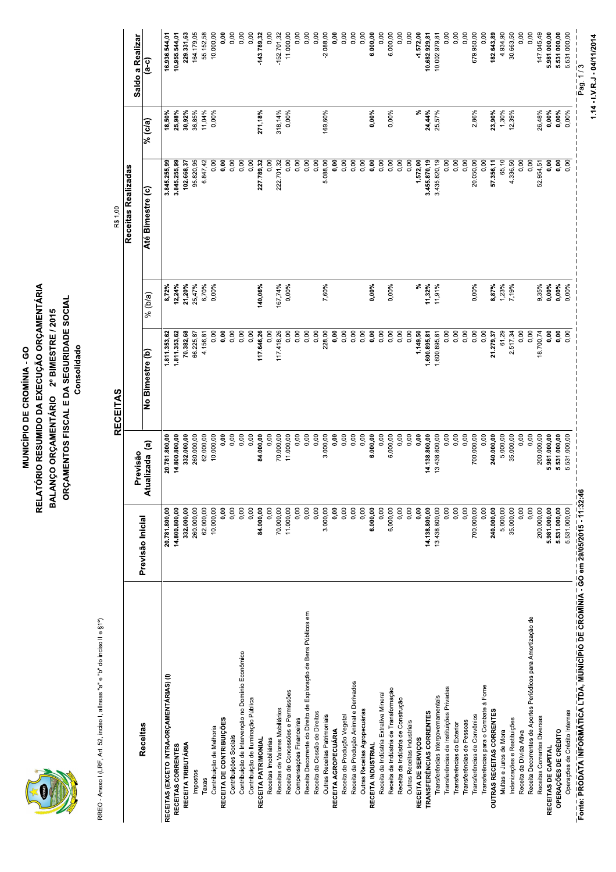

#### **MUNICÍPIO DE CROMÍNI<br>RELATÓRIO RESUMIDO DA EXECU<br>BALANÇO ORÇAMENTÁRIO 2º E<br>ORÇAMENTOS FISCAL E DA SE MUNICÍPIO DE CROMÍNIA - GO<br>RELATÓRIO RESUMIDO DA EXECUÇÃO ORÇ<br>BALANÇO ORÇAMENTÁRIO 2º BIMESTRE<br>ORÇAMENTOS FISCAL E DA SEGURIDAD MUNICÍPIO DE CROMÍNIA - GO<br>VTÓRIO RESUMIDO DA EXECUÇÃO ORÇAMENTÁ<br>ANÇO ORÇAMENTÁRIO - 2º BIMESTRE / 2015<br>RÇAMENTOS FISCAL E DA SEGURIDADE SOCIAI** MUNICÍPIO DE CROMÍNIA - GO<br>RELATÓRIO RESUMIDO DA EXECUÇÃO ORÇAMENTÁRIA<br>BALANÇO ORÇAMENTÁRIO - 2º BIMESTRE / 2015<br>ORÇAMENTOS FISCAL E DA SEGURIDADE SOCIAL<br>RECEITAS<br>RECEITAS **MUNICÍPIO DE CROMÍNIA - GONERATÓRIO RESUMIDO DA EXECUÇÃO IN ENCANÇA DE PORTENTARIO PE SEGURINES CONSOLIBILADE DE PORTENTARIO PERCEITAS De portes de portes de portes de portes de portes de portes de portes de portes de por** MUNICÍPIO DE CROMÍNIA - GO<br>RELATÓRIO RESUMIDO DA EXECUÇÃO O<br>BALANÇO ORÇAMENTÁRIO 2º BIMESTI<br>ORÇAMENTOS FISCAL E DA SEGURID<br>Consoildado<br>Consoildado<br>Rexultão MUNICÍPIO DE CROMÍNIA - GO<br>SLATÓRIO RESUMIDO DA EXECUÇÃO ORÇAMENTÁRIA<br>SLANÇO ORÇAMENTÁRIO - 2º BIMESTRE / 2015<br>ORÇAMENTOS FISCAL E DA SEGURIDADE SOCIAL<br>Consolidad<br>- Provisão **PIO DE CROMÍNIA - GO<br>MIDO DA EXECUÇÃO ORÇAMENTÁRIA<br>MENTÁRIO - 2º BIMESTRE / 2015<br>FISCAL E DA SEGURIDADE SOCIAL<br>Consolidado<br>RECEITAS** E CROMÍNIA - GO<br>DA EXECUÇÃO ORÇAMENTÁRIA<br>ÁRIO - 2º BIMESTRE / 2015<br>AL E DA SEGURIDADE SOCIAL<br>Consolidado<br>EITAS **MUNICÍPIO<br>RALATÓRIO RESUMID<br>BALANÇO ORÇAMEN<br>ORÇAMENTOS FIS<br>CELATÓRIO RESUMID MUNICÍPIO DE CROMÍNI<br>RELATÓRIO RESUMIDO DA EXECU<br>BALANÇO ORÇAMENTÁRIO 2º E<br>ORÇAMENTOS FISCAL E DA SE<br>Constantes de Constantion de Constantion de Constantion de Constantion de Constantion de Constantion de Constantion de C** MUNICÍPIO DE CROMÍNIA - GO<br>RELATÓRIO RESUMIDO DA EXECUÇÃO ORÇAME<br>BALANÇO ORÇAMENTÁRIO 2º BIMESTRE / 20<br>ORÇAMENTOS FISCAL E DA SEGURIDADE SC<br>Consolidad MUNICÍPIO DE CROMÍNIA - GO<br>RIO RESUMIDO DA EXECUÇÃO ORÇAMENT<br>ÇO ORÇAMENTÁRIO 2º BIMESTRE / 2015<br>MENTOS FISCAL E DA SEGURIDADE SOCI<br>Consolidado<br>RECEITAS **VIUNICÍPIO DE CROMÍNIA - GO<br>) RESUMIDO DA EXECUÇÃO ORÇAMENTÁRIA<br>ORÇAMENTÁRIO - 2º BIMESTRE / 2015<br>ENTOS FISCAL E DA SEGURIDADE SOCIAL<br>Consolidad<br>RECEITAS OMÍNIA - GO<br>:XECUÇÃO ORÇAMENTÁRIA<br>, 2º BIMESTRE / 2015<br>DA SEGURIDADE SOCIAL<br>Consolidado**<br>Consolidado MUNICÍPIO DE CROMÍNIA - GO<br>RELATÓRIO RESUMIDO DA EXECUÇÃO ORÇAMENTÁRIA<br>DAÇAMENTOS FISCAL E DA SEGURIDADE SOCIAL<br>ORÇAMENTOS FISCAL E DA SEGURIDADE SOCIAL<br>Previsão Inicial (Atualizada (a) No Bimestre (b) (% (b/a) Atualizada MUNICÍPIO DE CROMÍ<br>RELATÓRIO RESUMIDO DA EXEC<br>BALANÇO ORÇAMENTÁRIO 2º<br>ORÇAMENTOS FISCAL E DA S<br>Cor<br>Conicial Previsão<br>Previsão RECEITAS MUNICÍPIO DE CROMÍNIA - GO<br>RELATÓRIO RESUMIDO DA EXECUÇÃO ORÇAN<br>BALANÇO ORÇAMENTÁRIO \_2º BIMESTRE / 2<br>ORÇAMENTOS FISCAL E DA SEGURIDADE<br>Consoliado<br>Previsão | Previsão | Mo Bimestre (b) |<br>Inicial | Atualizada (a) No Bimestr MUNICÍPIO DE CROMÍNIA - GO<br>ORÇAMENTÁRIO - 2º BIMESTRE / 2015<br>AÇO ORÇAMENTÁRIO - 2º BIMESTRE / 2015<br>AMENTOS FISCAL E DA SEGURIDADE SOCIAL<br>AMENTOS FISCAL E DA SEGURIDADE SOCIAL<br>Pevisão - RECEITAS<br>alizada (a) - No Bimestre (b NICÍPIO DE CROMÍNIA - GO<br>ESUMIDO DA EXECUÇÃO ORÇAMENTÁRIA<br>KÇAMENTÁRIO - 2º BIMESTRE / 2015<br>TOS FISCAL E DA SEGURIDADE SOCIAL<br>RECEITAS<br>RECEITAS<br>0 (a) de Dimestre (b) de Victor (b) de Victor (d) de Victor (d) de Victor (d) d MUNICÍPIO DE CROMÍNIA - GO<br>RIO RESUMIDO DA EXECUÇÃO ORÇAMENTÁRIA<br>ÇO ORÇAMENTÁRIO - 2º BIMESTRE / 2015<br>MENTOS FISCAL E DA SEGURIDADE SOCIAL<br>MENTOS FISCAL E DA SEGURIDADE SOCIAL<br>Consolidade (a) - No Bimestre (b) - 1 % (b/a)

|                                                                                                                       |                          |                         | <b>RECEITAS</b>       |                   | R\$1,00               |                  |                         |
|-----------------------------------------------------------------------------------------------------------------------|--------------------------|-------------------------|-----------------------|-------------------|-----------------------|------------------|-------------------------|
|                                                                                                                       |                          | Previsão                |                       |                   | Receitas Realizadas   |                  | Saldo a Realizar        |
| Receitas                                                                                                              | Previsão Inicial         | Atualizada (a)          | No Bimestre (b)       | $%$ (b/a)         | Até Bimestre (c)      | % (c/a)          | <u>(၁-၄</u>             |
| RECEITAS (EXCETO INTRA-ORÇAMENTÁRIAS) (I)                                                                             | 20.781.800,00            | 20.781.800,00           | 1.811.353,62          | 8,72%             | 3.845.255,99          | $18,50\%$        | 16.936.544,01           |
| RECEITAS CORRENTES                                                                                                    | 14.800.800,00            | 14.800.800,00           | 1.811.353,62          | 12,24%            | 3.845.255,99          | 25,98%           | 10.955.544,01           |
| RECEITA TRIBUTÁRIA                                                                                                    | 332.000,00<br>260.000,00 | 332.000,00              | 70.382,68             | 21,20%            | 102.668,37            | 30,92%           | 229.331,63              |
| Impostos<br>Taxas                                                                                                     | 62.000,00                | 260.000,00<br>62.000,00 | 4.156,81<br>66.225,87 | 25,47%<br>6,70%   | 95.820,95<br>6.847,42 | 36,85%<br>11,04% | 164.179,05<br>55.152,58 |
| Contribuição de Melhoria                                                                                              | 10.000,00                | 10.000,00               | 0,00                  | 0,00%             | 0,00                  | 0,00%            | 10.000,00               |
| RECEITA DE CONTRIBUIÇÕES                                                                                              | 0,00                     | 0,00                    | 0,00                  |                   | 0,00                  |                  | <b>0,00</b>             |
| Contribuição de Intervenção no Domínio Econômico<br>Contribuições Sociais                                             | 0,00<br>0,00             | 0,00<br>0,00            | 0,00<br>0,00          |                   | 0,00<br>0,00          |                  | 0,00<br>0,00            |
| Contribuição de Iluminação Pública                                                                                    | 0,00                     | 0,00                    | 0,00                  |                   | 0,00                  |                  | 0,00                    |
| RECEITA PATRIMONIAL                                                                                                   | 84.000,00                | 84.000,00               | 117 646,26            | 140,06%           | 227.789,32            | 271,18%          | 143.789,32              |
| Receitas Imobiliárias                                                                                                 | 0,00                     | 0,00                    | 0,00                  |                   | 0,00                  |                  | 0,00                    |
| Receitas de Valores Mobiliários                                                                                       | 70.000,00                | 70.000,00               | 117.418,26            | 167,74%           | 222.701,32            | 318, 14%         | $-152.701,32$           |
| Receita de Concessões e Permissões                                                                                    | 11.000,00                | 11.000,00               | 0,00                  | 0,00%             | 0,00                  | 0,00%            | 11.000,00               |
| Receita Decorrente do Direito de Exploração de Bens Públicos em<br>Compensações Financeiras                           | 0,00<br>0,00             | 0,00<br>0,00            | 0,00<br>0,00          |                   | 0,00<br>0,00          |                  | 0,00<br>0,00            |
| Receita da Cessão de Direitos                                                                                         | 0,00                     | 0,00                    | 0,00                  |                   | 0,00                  |                  | 0,00                    |
| Outras Receitas Patrimoniais                                                                                          | 3.000,00                 | 3.000,00                | 228,00                | 7,60%             | 5.088,00              | 169,60%          | $-2.088,00$             |
| RECEITA AGROPECUÁRIA                                                                                                  | 0,00                     | 0,00                    | 0,00                  |                   | 0,00                  |                  | 0,00                    |
| Receita da Produção Animal e Derivados<br>Receita da Produção Vegetal                                                 | 0,00<br>0,00             | 0,00<br>0,00            | 0,00<br>0,00          |                   | 0,00<br>0,00          |                  | 0,00<br>0,00            |
| Outras Receitas Agropecuárias                                                                                         | 0,00                     | 0,00                    | 0,00                  |                   | 0,00                  |                  | 0,00                    |
| RECEITA INDUSTRIAL                                                                                                    | 6.000,00                 | 6.000,00                | 0,00                  | 0,00%             | 0,00                  | 0,00%            | 6.000,00                |
| Receita da Indústria de Transformação<br>Receita da Indústria Extrativa Mineral                                       | 6.000,00<br>0,00         | 0,00<br>6.000,00        | 0,00<br>0,00          | 0,00%             | 0,00<br>0,00          | 0,00%            | 0,00<br>6.000,00        |
| Receita da Indústria de Construção                                                                                    | 0,00                     | 0,00                    | 0,00                  |                   | 0,00                  |                  | 0,00                    |
| Outras Receitas Industriais                                                                                           | 0,00                     | 0,00                    | 0,00                  |                   | 0,00                  |                  | 0,00                    |
| RECEITA DE SERVIÇOS                                                                                                   | 0,00                     | 0,00                    | 1.149,50              | ళ                 | 1.572,00              | ళ                | $-1.572,00$             |
| TRANSFERÊNCIAS CORRENTES                                                                                              | 14.138.800,00            | 14.138.800,00           | 1.600.895,81          | 11,32%            | 3.455.870,19          | 24,44%           | 10.682.929,81           |
| Transferências Intergovernamentais                                                                                    | 13.438.800,00<br>0,00    | 13.438.800,00           | 0,00<br>1.600.895,81  | 11,91%            | 3.435.820,19<br>0,00  | 25,57%           | 0,00<br>10.002.979,81   |
| Transferências de Instituições Privadas<br>Transferências do Exterior                                                 | 0,00                     | 0,00<br>0,00            | 0,00                  |                   | 0,00                  |                  | 0,00                    |
| Transferências de Pessoas                                                                                             | 0,00                     | 0,00                    | 0,00                  |                   | 0,00                  |                  | 0,00                    |
| Transferências de Convênios                                                                                           | 700.000,00               | 700.000,00              | 0,00                  | 0,00%             | 20.050,00             | 2,86%            | 679.950,00              |
| Transferências para o Combate à Fome                                                                                  | 0,00                     | 0,00                    | 0,00                  |                   | 0,00                  |                  | 0,00                    |
| OUTRAS RECEITAS CORRENTES                                                                                             | 240.000,00<br>5.000,00   | 240.000,00<br>5.000,00  | 21.279,37             | 8,87%             | 57.356,11             | 23,90%           | 182.643,89              |
| Indenizações e Restituições<br>Multas e Juros de Mora                                                                 | 35.000,00                | 35.000,00               | 61,29<br>2.517,34     | $1,23\%$<br>7,19% | 4.336,50<br>65,10     | 1,30%<br>12,39%  | 4.934,90<br>30.663,50   |
| Receita da Dívida Ativa                                                                                               | 0,00                     | 0,00                    | 0,00                  |                   | 0,00                  |                  | 0,00                    |
| Receita Decorrentes de Aportes Periódicos para Amortização de                                                         | 0,00                     | 0,00                    | 0,00                  |                   | 0,00                  |                  | 0,00                    |
| Receitas Correntes Diversas                                                                                           | 200.000,00               | 200.000,00              | 18.700,74             | 9,35%             | 52.954,51             | 26,48%           | 147.045,49              |
| RECEITAS DE CAPITAL                                                                                                   | 5.981.000,00             | 5.981.000,00            | 0,00                  | 0,00%             | 0,00                  | 0,00%            | 5.981.000,00            |
| OPERAÇÕES DE CRÉDITO                                                                                                  | 5.531.000,00             | 5.531.000,00            | 0,00                  | 0,00%             | 0,00                  | 0,00%            | 5.531.000,00            |
| Fonte: PRODATA INFORMĀTICA LTDA, MUNICĪPIO DE CROMĪNIA - GO em 29/05/2015 - 11:32:46<br>Operações de Crédito Internas | 5.531.000,00             | 5.531.000,00            | 0,00                  | 0,00%             | 0,00                  | 0,00%            | 5.531.000,00            |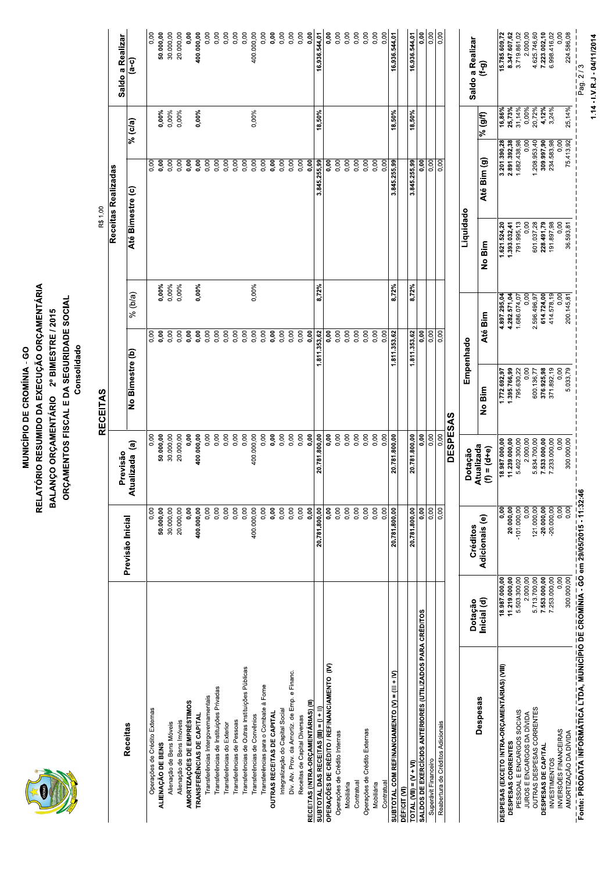

#### **MUNICÍPIO DE CROMÍNI<br>RELATÓRIO RESUMIDO DA EXECU<br>BALANÇO ORÇAMENTÁRIO 2º E<br>ORÇAMENTOS FISCAL E DA SE<br>CONSECEITAS MUNICÍPIO DE CROMÍNIA - GO<br>RELATÓRIO RESUMIDO DA EXECUÇÃO ORÇ<br>BALANÇO ORÇAMENTÁRIO 2º BIMESTRE<br>ORÇAMENTOS FISCAL E DA SEGURIDAD<br>ORÇAMENTOS FISCAL E DA SEGURIDAD** - -MUNICÍPIO DE CROMÍNIA - GONERATÓRIO RESUMIDO DA EXECUÇÃO I<br>BALANÇO ORÇAMENTÁRIO - 2º BIMES<br>ORÇAMENTOS FISCAL E DA SEGURIN<br>Consolidad<br>Consolidad (Brevisão de Previsão de Alualizada (a)<br>Atualizada (a) No Bimestre (b<sub>i</sub> -MUNICÍPIO DE CROMÍNIA - GO<br>ALANÇO ORÇAMENTÁRIO - 2º BIMESTRE / 2015<br>ORÇAMENTOS FISCAL E DA SEGURIDADE SOCIAL<br>Previsão - RECEITAS<br>Previsão - RECEITAS<br>Atualizada (a) - No Bimestre (b) - 9 % (b/a) - | E CROMÍNIA - GO<br>DA EXECUÇÃO ORÇAMENTÁRIA<br>ARIO - 2º BIMESTRE / 2015<br>LL E DA SEGURIDADE SOCIAL<br>Consolidado<br>EITAS<br>EITAS MUNICÍPIO DE CROMÍNI<br>RALANÇO ORÇAMENTÁRIO 2º E<br>ORÇAMENTOS FISCAL E DA SE<br>ORÇAMENTOS FISCAL E DA SE<br>Cons MUNICÍPIO DE CROMÍNIA - GO<br>RELATÓRIO RESUMIDO DA EXECUÇÃO ORÇAME<br>BALANÇO ORÇAMENTÁRIO 2º BIMESTRE / 20<br>ORÇAMENTOS FISCAL E DA SEGURIDADE SC<br>Consolidad<br>RECEITAS<br>Revisão MUNICÍPIO DE CROMÍNIA - GO<br>RIO RESUMIDO DA EXECUÇÃO ORÇAMENT<br>ÇO ORÇAMENTÁRIO 2º BIMESTRE / 2015<br>MENTOS FISCAL E DA SEGURIDADE SOCI<br>Consolidado<br>RECEITAS<br>RECEITAS **WUNICÍPIO DE CROMÍNIA - GO<br>) RESUMIDO DA EXECUÇÃO ORÇAMENTÁRIA<br>ORÇAMENTÁRIO - 2º BIMESTRE / 2015<br>ENTOS FISCAL E DA SEGURIDADE SOCIAL<br>Consolidad<br>RECEITAS<br>RECEITAS OMÍNIA - GO<br>:XECUÇÃO ORÇAMENTÁRIA<br>, 2º BIMESTRE / 2015<br>DA SEGURIDADE SOCIAL<br>Consolidado**<br>.S MUNICÍPIO DE CROMÍNIA - GO<br>ORÇAMENTÁRIO - 2º BIMESTRE / 2015<br>AÇO ORÇAMENTÁRIO - 2º BIMESTRE / 2015<br>AMENTOS FISCAL E DA SEGURIDADE SOCIAL<br>Previsão - RECEITAS<br>alizada (a) - No Bimestre (b) - 9% (b/a<br>alizada (a) - No Bimestre

| Previsão Inicial<br><b>Receitas</b>                                                                             |                                      | <b>RECEITAS</b>            |                                | R\$ 1,00                   |                                             |                          |                               |
|-----------------------------------------------------------------------------------------------------------------|--------------------------------------|----------------------------|--------------------------------|----------------------------|---------------------------------------------|--------------------------|-------------------------------|
|                                                                                                                 | Previsão                             |                            |                                |                            | Receitas Realizadas                         |                          | Saldo a Realizar              |
|                                                                                                                 | Atualizada (a)                       | No Bimestre (b)            | % $(b/a)$                      | Até Bimestre (c)           |                                             | $\sqrt[6]{\text{c/a}}$   | $\overline{a}$ -c)            |
| Operações de Crédito Externas                                                                                   | 0,00<br>0,00                         |                            | 0,00                           |                            | 0,00                                        |                          | 0,00                          |
| 50.000,00<br>ALIENAÇÃO DE BENS                                                                                  | 50.000,00                            |                            | 0,00%<br>$\frac{8}{2}$         |                            | $\frac{8}{2}$                               | 0,00%                    | 50.000,00                     |
| 30.000,00<br>20.000,00<br>Alienação de Bens Imóveis<br>Alienação de Bens Móveis                                 | 30.000,00<br>20.000,00               |                            | 0,00%<br>0,00%<br>0,00<br>0,00 |                            | 0,00<br>0,00                                | 0,00%<br>0,00%           | 30.000,00<br>20.000,00        |
| AMORTIZAÇÕES DE EMPRÉSTIMOS                                                                                     | 0,00<br>0,00                         |                            | 0,00                           |                            | 0,00                                        |                          | 0,00                          |
| 400.000,00<br>TRANSFERÊNCIAS DE CAPITAL                                                                         | 400.000,00                           |                            | 0,00%<br>0,00                  |                            | 0,00                                        | 0,00%                    | 400.000,00                    |
| Transferências de Instituições Privadas<br>Transferências Intergovernamentais                                   | 0,00<br>0,00<br>0,00<br>0,00         |                            | 0,00<br>0,00                   |                            | 0,00<br>0,00                                |                          | 0,00<br>0,00                  |
| Transferências do Exterior                                                                                      | 0,00<br>0,00                         |                            | 0,00                           |                            | 0,00                                        |                          | 0,00                          |
| Transferências de Pessoas                                                                                       | 0,00<br>0,00                         |                            | 0,00                           |                            | 0,00                                        |                          | 0,00                          |
| Transferências de Outras Instituições Públicas                                                                  | 0,00<br>0,00                         |                            | 0,00<br>0,00                   |                            | 0,00                                        |                          | 0,00                          |
| 400.000,00<br>Transferências para o Combate à Fome<br>Transferências de Convênios                               | 400.000,00<br>0,00<br>0,00           |                            | 0,00%<br>0,00                  |                            | $\overline{\text{o}}$<br>$\overline{\circ}$ | 0,00%                    | 400.000,00<br>0,00            |
| OUTRAS RECEITAS DE CAPITAL                                                                                      | 0,00<br>0,00                         |                            | 0,00                           |                            | 0,00                                        |                          | 0,00                          |
| Integralização do Capital Social                                                                                | 0,00<br>0,00                         |                            | 0,00                           |                            | 0,00                                        |                          | 0,00                          |
| Dív. Atv. Prov. da Amortiz. de Emp. e Financ.                                                                   | 0,00<br>0,00                         |                            | 0,00<br>0,00                   |                            | 0,00<br>0,00                                |                          | 0,00<br>0,00                  |
| RECEITAS (INTRA-ORÇAMENTÁRIAS) (II)<br>Receitas de Capital Diversas                                             | 0,00<br>0,00<br>0,00<br>0,00         |                            | 0,00                           |                            | 0,00                                        |                          | 0,00                          |
| 20.781.800,00<br>SUBTOTAL DAS RECEITAS $(III) = (I + II)$                                                       | 20.781.800,00                        | 1.811.353,62               | 8,72%                          |                            | 3.845.255,99                                | 18,50%                   | 16.936.544,01                 |
| OPERAÇÕES DE CRÉDITO / REFINANCIAMENTO (IV)                                                                     | ່ອ<br>0,00                           |                            | 0,00                           |                            | $\overline{0}$                              |                          | 0,00                          |
| Operações de Crédito Internas<br>Mobiliária                                                                     | 0,00<br>0,00<br>0,00<br>0,00         |                            | 0,00<br>0,00                   |                            | 0,00<br>0,00                                |                          | 0,00<br>0,00                  |
| Contratual                                                                                                      | 0,00<br>0,00                         |                            | 0,00                           |                            | 0,00                                        |                          | 0,00                          |
| Operações de Crédito Externas                                                                                   | 0,00<br>0,00                         |                            | 0,00                           |                            | 0,00                                        |                          | 0,00                          |
| Mobiliária                                                                                                      | 0,00<br>0,00                         |                            | 0,00                           |                            |                                             |                          | 0,00                          |
| 20.781.800,00<br>COM REFINANCIAMENTO (V) = (III + IV)<br>ontratua<br>SUBTOTAL                                   | 0,00<br>20.781.800,00<br>0,00        | 1.811.353,62               | 8,72%<br>0,00                  |                            | 3.845.255,99<br>0,00                        | 18,50%                   | 0,00<br>16.936.544,01         |
| DÉFICIT <sub>(VI)</sub>                                                                                         |                                      |                            |                                |                            |                                             |                          |                               |
| 20.781.800,00<br>TOTAL $(VII) = (V + VI)$                                                                       | 20.781.800,00                        | 1.811.353,62               | 8,72%                          |                            | 3.845.255,99                                | 18,50%                   | 16.936.544,01                 |
| SALDOS DE EXERCÍCIOS ANTERIORES (UTILIZADOS PARA CRÉDITOS                                                       | $\frac{8}{5}$<br>0,00<br>0,00        |                            | 0,00<br>0,00                   |                            | 0,00<br>0,00                                |                          | 0,00<br>0,00                  |
| Reabertura de Créditos Adicionais<br>Superávit Financeiro                                                       | 0.00<br>0,00<br>0,00                 |                            | 0,00                           |                            | 0,00                                        |                          | 0,00                          |
|                                                                                                                 | <b>DESPESA</b>                       | ທ                          |                                |                            |                                             |                          |                               |
|                                                                                                                 | Dotação                              | Empenhado                  |                                | Liquidado                  |                                             |                          |                               |
| Créditos<br>Dotação<br>Despesas                                                                                 | Atualizada                           | No Bim                     |                                |                            |                                             | $\sqrt[3]{6}$ (g/f)      | Saldo a Realizar<br>ີ<br>(F-ງ |
| Adicionais (e)<br>Inicial (d)                                                                                   | $(f) = (d+e)$                        |                            | Até Bim                        | Bim<br>ş                   | Até Bim (g)                                 |                          |                               |
| 18 987 000,00<br>DESPESAS (EXCETO INTRA-ORÇAMENTÁRIAS) (VIII)                                                   | 18.987.000,00<br>0,00                | 1.772.692,97               | 4.897 295,04                   | 1 621 524,20               | 3.201.390,28                                | 16,86%                   | 15.785.609,72<br>8.347.607,62 |
| $-101.000,00$<br>20.000,00<br>11.219.000,00<br>5.503.300,00<br>DESPESAS CORRENTES                               | 5.402.300,00<br>11.239.000,00        | 1.395.766,99<br>795.630,22 | 4.282.571,04<br>1.686.074,07   | 791.995,13<br>1.393.032,41 | 2.891.392,38<br>1.682.438,98                | 25,73%<br>31,14%         | 3.719.861,02                  |
| 121.000,00<br>2.000,00<br>PESSOAL E ENCARGOS SOCIAIS<br>JUROS E ENCARGOS DA DÍVIDA<br>OUTRAS DESPESAS CORRENTES | 5.834.700,00<br>2.000,00<br>0,00     | 0,00<br>600.136,77         | 0,00                           | 0,00<br>601.037,28         |                                             | 0,00%<br>$\overline{0}$  | 2.000,00                      |
| $-20.000,00$<br>5.713.700,00<br>DESPESAS DE CAPITAL                                                             | 7.533.000,00                         | 376.925,98                 | 614.724,00<br>2.596.496,97     | 228.491,79                 | 1.208.953,40<br>309.997,90                  | 20,72%<br>4,12%          | 4.625.746,60<br>7.223.002,10  |
| $-20.000,00$<br>7.253.000,00<br><b>INVESTIMENTOS</b>                                                            | 7.233.000,00                         | 371.892,19                 | 414.578,19                     | 191.897,98                 | 234.583,98                                  | 3,24%                    | 6.998.416,02                  |
| 300.000,00<br>0,00<br>INVERSÕES FINANCEIRAS<br>AMORTIZAÇÃO DA DÍVIDA                                            | 300.000,00<br>0,00<br>0,00<br>$\log$ | 0,00<br>5.033,79           | $0,00$<br>$0,000$<br>$0,000$   | 0,00<br>36.593,81          | 75.413,92                                   | 25,14%<br>$\overline{0}$ | 0,00<br>224.586,08            |

## - Pag. 2/3  $1.14 - I.V.R.J - 04/11/2014$